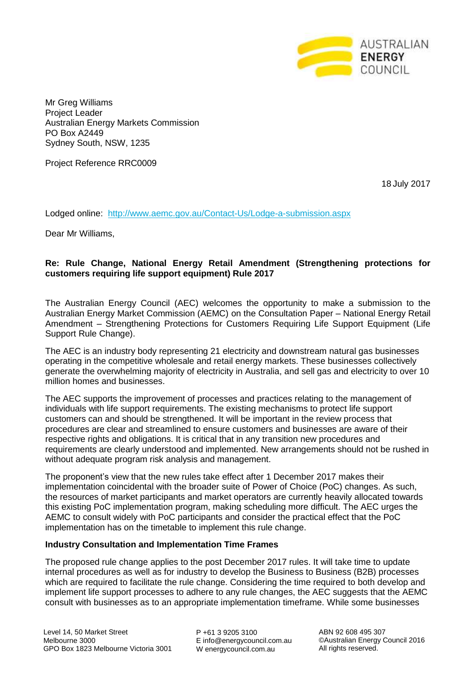

Mr Greg Williams Project Leader Australian Energy Markets Commission PO Box A2449 Sydney South, NSW, 1235

Project Reference RRC0009

18 July 2017

Lodged online: <http://www.aemc.gov.au/Contact-Us/Lodge-a-submission.aspx>

Dear Mr Williams,

# **Re: Rule Change, National Energy Retail Amendment (Strengthening protections for customers requiring life support equipment) Rule 2017**

The Australian Energy Council (AEC) welcomes the opportunity to make a submission to the Australian Energy Market Commission (AEMC) on the Consultation Paper – National Energy Retail Amendment – Strengthening Protections for Customers Requiring Life Support Equipment (Life Support Rule Change).

The AEC is an industry body representing 21 electricity and downstream natural gas businesses operating in the competitive wholesale and retail energy markets. These businesses collectively generate the overwhelming majority of electricity in Australia, and sell gas and electricity to over 10 million homes and businesses.

The AEC supports the improvement of processes and practices relating to the management of individuals with life support requirements. The existing mechanisms to protect life support customers can and should be strengthened. It will be important in the review process that procedures are clear and streamlined to ensure customers and businesses are aware of their respective rights and obligations. It is critical that in any transition new procedures and requirements are clearly understood and implemented. New arrangements should not be rushed in without adequate program risk analysis and management.

The proponent's view that the new rules take effect after 1 December 2017 makes their implementation coincidental with the broader suite of Power of Choice (PoC) changes. As such, the resources of market participants and market operators are currently heavily allocated towards this existing PoC implementation program, making scheduling more difficult. The AEC urges the AEMC to consult widely with PoC participants and consider the practical effect that the PoC implementation has on the timetable to implement this rule change.

#### **Industry Consultation and Implementation Time Frames**

The proposed rule change applies to the post December 2017 rules. It will take time to update internal procedures as well as for industry to develop the Business to Business (B2B) processes which are required to facilitate the rule change. Considering the time required to both develop and implement life support processes to adhere to any rule changes, the AEC suggests that the AEMC consult with businesses as to an appropriate implementation timeframe. While some businesses

P +61 3 9205 3100 E info@energycouncil.com.au W energycouncil.com.au

ABN 92 608 495 307 ©Australian Energy Council 2016 All rights reserved.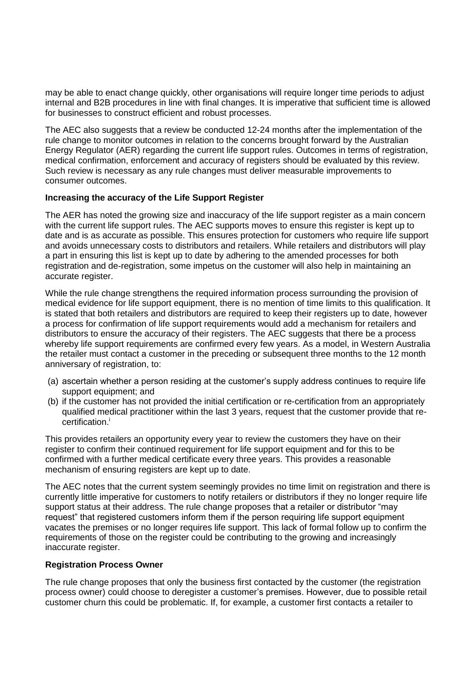may be able to enact change quickly, other organisations will require longer time periods to adjust internal and B2B procedures in line with final changes. It is imperative that sufficient time is allowed for businesses to construct efficient and robust processes.

The AEC also suggests that a review be conducted 12-24 months after the implementation of the rule change to monitor outcomes in relation to the concerns brought forward by the Australian Energy Regulator (AER) regarding the current life support rules. Outcomes in terms of registration, medical confirmation, enforcement and accuracy of registers should be evaluated by this review. Such review is necessary as any rule changes must deliver measurable improvements to consumer outcomes.

### **Increasing the accuracy of the Life Support Register**

The AER has noted the growing size and inaccuracy of the life support register as a main concern with the current life support rules. The AEC supports moves to ensure this register is kept up to date and is as accurate as possible. This ensures protection for customers who require life support and avoids unnecessary costs to distributors and retailers. While retailers and distributors will play a part in ensuring this list is kept up to date by adhering to the amended processes for both registration and de-registration, some impetus on the customer will also help in maintaining an accurate register.

While the rule change strengthens the required information process surrounding the provision of medical evidence for life support equipment, there is no mention of time limits to this qualification. It is stated that both retailers and distributors are required to keep their registers up to date, however a process for confirmation of life support requirements would add a mechanism for retailers and distributors to ensure the accuracy of their registers. The AEC suggests that there be a process whereby life support requirements are confirmed every few years. As a model, in Western Australia the retailer must contact a customer in the preceding or subsequent three months to the 12 month anniversary of registration, to:

- (a) ascertain whether a person residing at the customer's supply address continues to require life support equipment; and
- (b) if the customer has not provided the initial certification or re-certification from an appropriately qualified medical practitioner within the last 3 years, request that the customer provide that recertification.<sup>i</sup>

This provides retailers an opportunity every year to review the customers they have on their register to confirm their continued requirement for life support equipment and for this to be confirmed with a further medical certificate every three years. This provides a reasonable mechanism of ensuring registers are kept up to date.

The AEC notes that the current system seemingly provides no time limit on registration and there is currently little imperative for customers to notify retailers or distributors if they no longer require life support status at their address. The rule change proposes that a retailer or distributor "may request" that registered customers inform them if the person requiring life support equipment vacates the premises or no longer requires life support. This lack of formal follow up to confirm the requirements of those on the register could be contributing to the growing and increasingly inaccurate register.

## **Registration Process Owner**

The rule change proposes that only the business first contacted by the customer (the registration process owner) could choose to deregister a customer's premises. However, due to possible retail customer churn this could be problematic. If, for example, a customer first contacts a retailer to